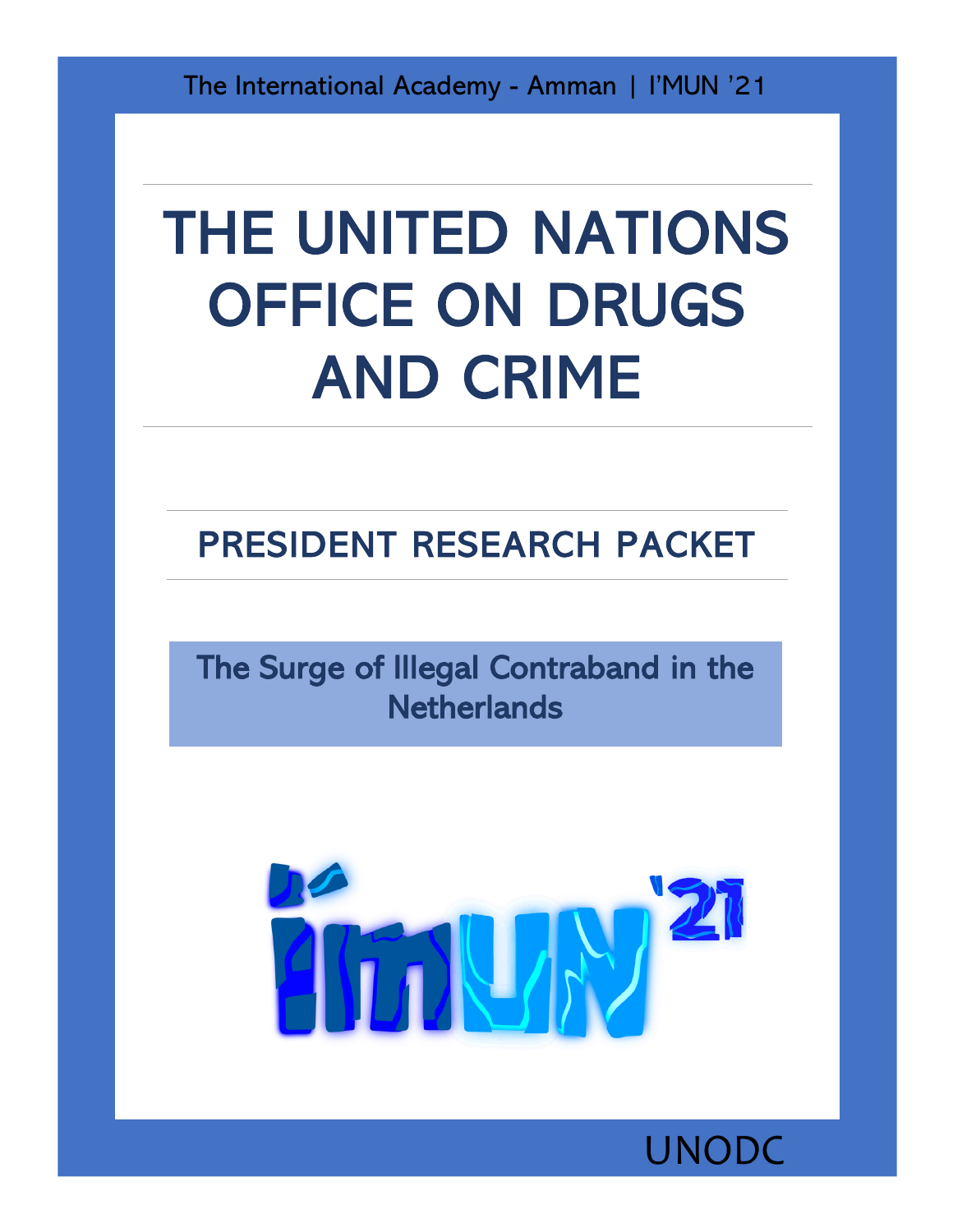The International Academy - Amman | I'MUN '21

# THE UNITED NATIONS OFFICE ON DRUGS AND CRIME

# PRESIDENT RESEARCH PACKET

The Surge of Illegal Contraband in the **Netherlands** 



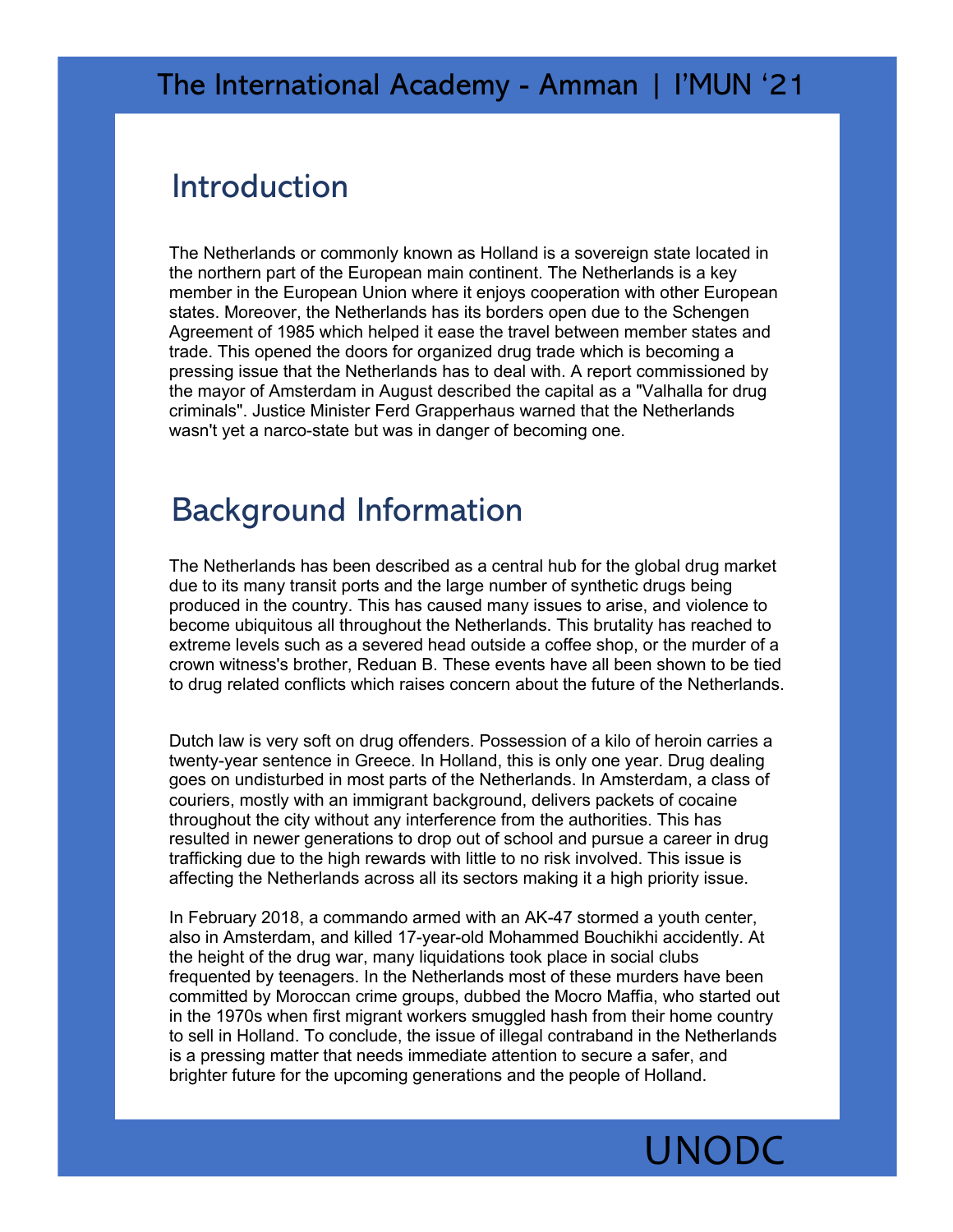#### Introduction

The Netherlands or commonly known as Holland is a sovereign state located in the northern part of the European main continent. The Netherlands is a key member in the European Union where it enjoys cooperation with other European states. Moreover, the Netherlands has its borders open due to the Schengen Agreement of 1985 which helped it ease the travel between member states and trade. This opened the doors for organized drug trade which is becoming a pressing issue that the Netherlands has to deal with. A report commissioned by the mayor of Amsterdam in August described the capital as a "Valhalla for drug criminals". Justice Minister Ferd Grapperhaus warned that the Netherlands wasn't yet a narco-state but was in danger of becoming one.

## Background Information

The Netherlands has been described as a central hub for the global drug market due to its many transit ports and the large number of synthetic drugs being produced in the country. This has caused many issues to arise, and violence to become ubiquitous all throughout the Netherlands. This brutality has reached to extreme levels such as a severed head outside a coffee shop, or the murder of a crown witness's brother, Reduan B. These events have all been shown to be tied to drug related conflicts which raises concern about the future of the Netherlands.

Dutch law is very soft on drug offenders. Possession of a kilo of heroin carries a twenty-year sentence in Greece. In Holland, this is only one year. Drug dealing goes on undisturbed in most parts of the Netherlands. In Amsterdam, a class of couriers, mostly with an immigrant background, delivers packets of cocaine throughout the city without any interference from the authorities. This has resulted in newer generations to drop out of school and pursue a career in drug trafficking due to the high rewards with little to no risk involved. This issue is affecting the Netherlands across all its sectors making it a high priority issue.

In February 2018, a commando armed with an AK-47 stormed a youth center, also in Amsterdam, and killed 17-year-old Mohammed Bouchikhi accidently. At the height of the drug war, many liquidations took place in social clubs frequented by teenagers. In the Netherlands most of these murders have been committed by Moroccan crime groups, dubbed the Mocro Maffia, who started out in the 1970s when first migrant workers smuggled hash from their home country to sell in Holland. To conclude, the issue of illegal contraband in the Netherlands is a pressing matter that needs immediate attention to secure a safer, and brighter future for the upcoming generations and the people of Holland.